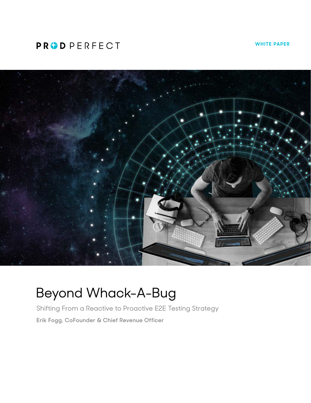# **PRODPERFECT**

**WHITE PAPER**



# Beyond Whack-A-Bug

Shifting From a Reactive to Proactive E2E Testing Strategy **Erik Fogg, CoFounder & Chief Revenue Officer**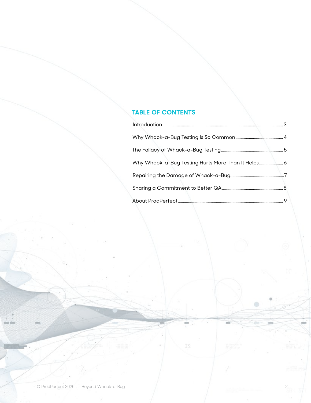# **TABLE OF CONTENTS**

| Why Whack-a-Bug Testing Hurts More Than It Helps 6 |  |
|----------------------------------------------------|--|
|                                                    |  |
|                                                    |  |
|                                                    |  |

 $\qquad \qquad \circ$ 

mil

 $\Im \tilde{s}$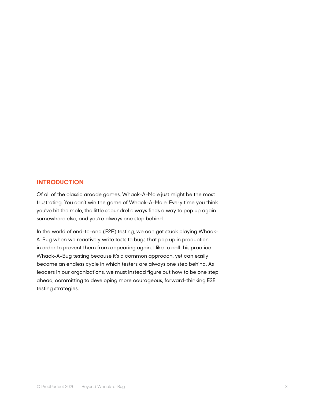#### <span id="page-2-0"></span>**INTRODUCTION**

Of all of the classic arcade games, Whack-A-Mole just might be the most frustrating. You can't win the game of Whack-A-Mole. Every time you think you've hit the mole, the little scoundrel always finds a way to pop up again somewhere else, and you're always one step behind.

In the world of end-to-end (E2E) testing, we can get stuck playing Whack-A-Bug when we reactively write tests to bugs that pop up in production in order to prevent them from appearing again. I like to call this practice Whack-A-Bug testing because it's a common approach, yet can easily become an endless cycle in which testers are always one step behind. As leaders in our organizations, we must instead figure out how to be one step ahead, committing to developing more courageous, forward-thinking E2E testing strategies.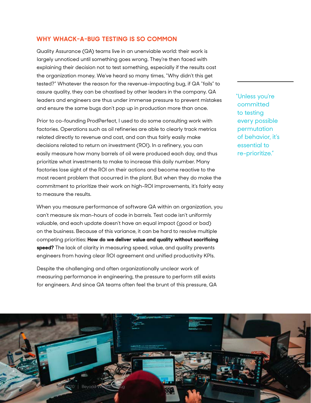### <span id="page-3-0"></span>**WHY WHACK-A-BUG TESTING IS SO COMMON**

Quality Assurance (QA) teams live in an unenviable world: their work is largely unnoticed until something goes wrong. They're then faced with explaining their decision not to test something, especially if the results cost the organization money. We've heard so many times, "Why didn't this get tested?" Whatever the reason for the revenue-impacting bug, if QA "fails" to assure quality, they can be chastised by other leaders in the company. QA leaders and engineers are thus under immense pressure to prevent mistakes and ensure the same bugs don't pop up in production more than once.

Prior to co-founding ProdPerfect, I used to do some consulting work with factories. Operations such as oil refineries are able to clearly track metrics related directly to revenue and cost, and can thus fairly easily make decisions related to return on investment (ROI). In a refinery, you can easily measure how many barrels of oil were produced each day, and thus prioritize what investments to make to increase this daily number. Many factories lose sight of the ROI on their actions and become reactive to the most recent problem that occurred in the plant. But when they do make the commitment to prioritize their work on high-ROI improvements, it's fairly easy to measure the results.

When you measure performance of software QA within an organization, you can't measure six man-hours of code in barrels. Test code isn't uniformly valuable, and each update doesn't have an equal impact (good or bad) on the business. Because of this variance, it can be hard to resolve multiple competing priorities: **How do we deliver value and quality without sacrificing speed?** The lack of clarity in measuring speed, value, and quality prevents engineers from having clear ROI agreement and unified productivity KPIs.

Despite the challenging and often organizationally unclear work of measuring performance in engineering, the pressure to perform still exists for engineers. And since QA teams often feel the brunt of this pressure, QA "Unless you're committed to testing every possible permutation of behavior, it's essential to re-prioritize."

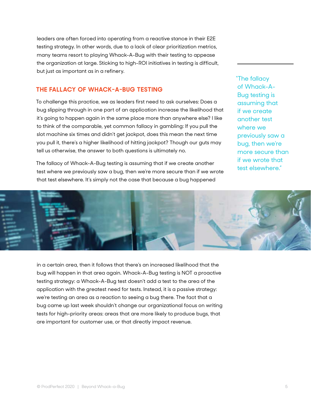<span id="page-4-0"></span>leaders are often forced into operating from a reactive stance in their E2E testing strategy. In other words, due to a lack of clear prioritization metrics, many teams resort to playing Whack-A-Bug with their testing to appease the organization at large. Sticking to high-ROI initiatives in testing is difficult, but just as important as in a refinery.

## **THE FALLACY OF WHACK-A-BUG TESTING**

To challenge this practice, we as leaders first need to ask ourselves: Does a bug slipping through in one part of an application increase the likelihood that it's going to happen again in the same place more than anywhere else? I like to think of the comparable, yet common fallacy in gambling: If you pull the slot machine six times and didn't get jackpot, does this mean the next time you pull it, there's a higher likelihood of hitting jackpot? Though our guts may tell us otherwise, the answer to both questions is ultimately no.

The fallacy of Whack-A-Bug testing is assuming that if we create another test where we previously saw a bug, then we're more secure than if we wrote that test elsewhere. It's simply not the case that because a bug happened

"The fallacy of Whack-A-Bug testing is assuming that if we create another test where we previously saw a bug, then we're more secure than if we wrote that test elsewhere."



in a certain area, then it follows that there's an increased likelihood that the bug will happen in that area again. Whack-A-Bug testing is NOT a proactive testing strategy: a Whack-A-Bug test doesn't add a test to the area of the application with the greatest need for tests. Instead, it is a passive strategy: we're testing an area as a reaction to seeing a bug there. The fact that a bug came up last week shouldn't change our organizational focus on writing tests for high-priority areas: areas that are more likely to produce bugs, that are important for customer use, or that directly impact revenue.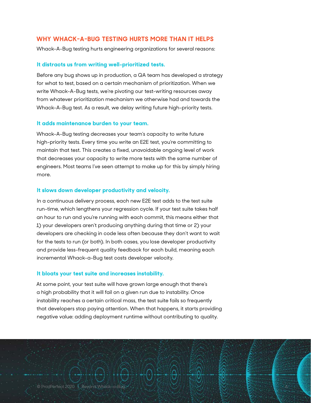### <span id="page-5-0"></span>**WHY WHACK-A-BUG TESTING HURTS MORE THAN IT HELPS**

Whack-A-Bug testing hurts engineering organizations for several reasons:

#### **It distracts us from writing well-prioritized tests.**

Before any bug shows up in production, a QA team has developed a strategy for what to test, based on a certain mechanism of prioritization. When we write Whack-A-Bug tests, we're pivoting our test-writing resources away from whatever prioritization mechanism we otherwise had and towards the Whack-A-Bug test. As a result, we delay writing future high-priority tests.

#### **It adds maintenance burden to your team.**

Whack-A-Bug testing decreases your team's capacity to write future high-priority tests. Every time you write an E2E test, you're committing to maintain that test. This creates a fixed, unavoidable ongoing level of work that decreases your capacity to write more tests with the same number of engineers. Most teams I've seen attempt to make up for this by simply hiring more.

#### **It slows down developer productivity and velocity.**

In a continuous delivery process, each new E2E test adds to the test suite run-time, which lengthens your regression cycle. If your test suite takes half an hour to run and you're running with each commit, this means either that 1) your developers aren't producing anything during that time or 2) your developers are checking in code less often because they don't want to wait for the tests to run (or both). In both cases, you lose developer productivity and provide less-frequent quality feedback for each build, meaning each incremental Whack-a-Bug test costs developer velocity.

#### **It bloats your test suite and increases instability.**

At some point, your test suite will have grown large enough that there's a high probability that it will fail on a given run due to instability. Once instability reaches a certain critical mass, the test suite fails so frequently that developers stop paying attention. When that happens, it starts providing negative value: adding deployment runtime without contributing to quality.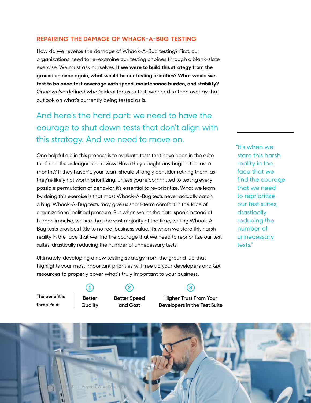## <span id="page-6-0"></span>**REPAIRING THE DAMAGE OF WHACK-A-BUG TESTING**

How do we reverse the damage of Whack-A-Bug testing? First, our organizations need to re-examine our testing choices through a blank-slate exercise. We must ask ourselves: **If we were to build this strategy from the ground up once again, what would be our testing priorities? What would we test to balance test coverage with speed, maintenance burden, and stability?** Once we've defined what's ideal for us to test, we need to then overlay that outlook on what's currently being tested as is.

# And here's the hard part: we need to have the courage to shut down tests that don't align with this strategy. And we need to move on.

One helpful aid in this process is to evaluate tests that have been in the suite for 6 months or longer and review: Have they caught any bugs in the last 6 months? If they haven't, your team should strongly consider retiring them, as they're likely not worth prioritizing. Unless you're committed to testing every possible permutation of behavior, it's essential to re-prioritize. What we learn by doing this exercise is that most Whack-A-Bug tests never actually catch a bug. Whack-A-Bug tests may give us short-term comfort in the face of organizational political pressure. But when we let the data speak instead of human impulse, we see that the vast majority of the time, writing Whack-A-Bug tests provides little to no real business value. It's when we stare this harsh reality in the face that we find the courage that we need to reprioritize our test suites, drastically reducing the number of unnecessary tests.

Ultimately, developing a new testing strategy from the ground-up that highlights your most important priorities will free up your developers and QA resources to properly cover what's truly important to your business.

"It's when we stare this harsh reality in the face that we find the courage that we need to reprioritize our test suites, drastically reducing the number of unnecessary tests."

**The benefit is three-fold:**

**Better Quality** **Better Speed and Cost**

# **1 2 3**

**Higher Trust From Your Developers in the Test Suite**

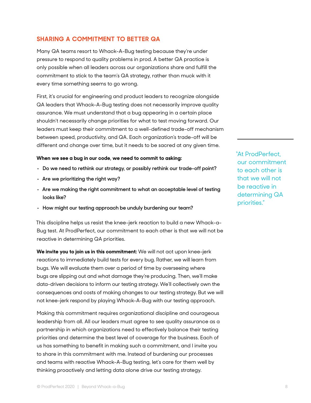# <span id="page-7-0"></span>**SHARING A COMMITMENT TO BETTER QA**

Many QA teams resort to Whack-A-Bug testing because they're under pressure to respond to quality problems in prod. A better QA practice is only possible when all leaders across our organizations share and fulfill the commitment to stick to the team's QA strategy, rather than muck with it every time something seems to go wrong.

First, it's crucial for engineering and product leaders to recognize alongside QA leaders that Whack-A-Bug testing does not necessarily improve quality assurance. We must understand that a bug appearing in a certain place shouldn't necessarily change priorities for what to test moving forward. Our leaders must keep their commitment to a well-defined trade-off mechanism between speed, productivity, and QA. Each organization's trade-off will be different and change over time, but it needs to be sacred at any given time.

#### **When we see a bug in our code, we need to commit to asking:**

- **• Do we need to rethink our strategy, or possibly rethink our trade-off point?**
- **• Are we prioritizing the right way?**
- **• Are we making the right commitment to what an acceptable level of testing looks like?**
- **• How might our testing approach be unduly burdening our team?**

This discipline helps us resist the knee-jerk reaction to build a new Whack-a-Bug test. At ProdPerfect, our commitment to each other is that we will not be reactive in determining QA priorities.

**We invite you to join us in this commitment:** We will not act upon knee-jerk reactions to immediately build tests for every bug. Rather, we will learn from bugs. We will evaluate them over a period of time by overseeing where bugs are slipping out and what damage they're producing. Then, we'll make data-driven decisions to inform our testing strategy. We'll collectively own the consequences and costs of making changes to our testing strategy. But we will not knee-jerk respond by playing Whack-A-Bug with our testing approach.

Making this commitment requires organizational discipline and courageous leadership from all. All our leaders must agree to see quality assurance as a partnership in which organizations need to effectively balance their testing priorities and determine the best level of coverage for the business. Each of us has something to benefit in making such a commitment, and I invite you to share in this commitment with me. Instead of burdening our processes and teams with reactive Whack-A-Bug testing, let's care for them well by thinking proactively and letting data alone drive our testing strategy.

"At ProdPerfect, our commitment to each other is that we will not be reactive in determining QA priorities."